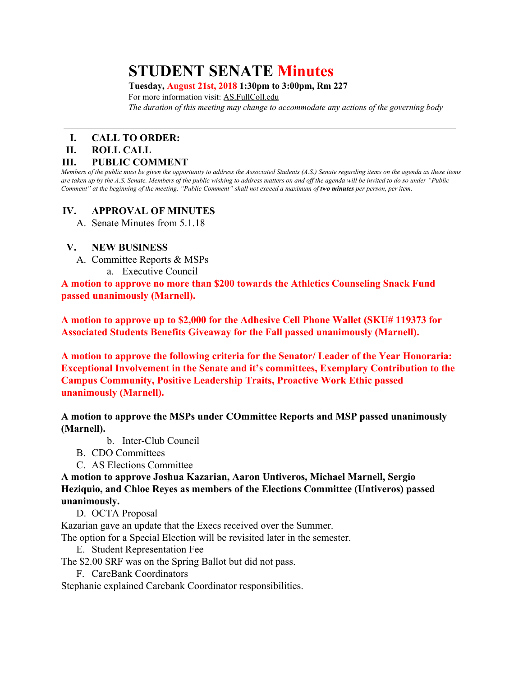# **STUDENT SENATE Minutes**

#### **Tuesday, August 21st, 2018 1:30pm to 3:00pm, Rm 227**

For more information visit: AS.FullColl.edu *The duration of this meeting may change to accommodate any actions of the governing body*

## **I. CALL TO ORDER:**

#### **II. ROLL CALL**

#### **III. PUBLIC COMMENT**

Members of the public must be given the opportunity to address the Associated Students (A.S.) Senate regarding items on the agenda as these items are taken up by the A.S. Senate. Members of the public wishing to address matters on and off the agenda will be invited to do so under "Public Comment" at the beginning of the meeting. "Public Comment" shall not exceed a maximum of two minutes per person, per item.

## **IV. APPROVAL OF MINUTES**

A. Senate Minutes from 5.1.18

### **V. NEW BUSINESS**

- A. Committee Reports & MSPs
	- a. Executive Council

**A motion to approve no more than \$200 towards the Athletics Counseling Snack Fund passed unanimously (Marnell).**

**A motion to approve up to \$2,000 for the Adhesive Cell Phone Wallet (SKU# 119373 for Associated Students Benefits Giveaway for the Fall passed unanimously (Marnell).**

**A motion to approve the following criteria for the Senator/ Leader of the Year Honoraria: Exceptional Involvement in the Senate and it's committees, Exemplary Contribution to the Campus Community, Positive Leadership Traits, Proactive Work Ethic passed unanimously (Marnell).**

## **A motion to approve the MSPs under COmmittee Reports and MSP passed unanimously (Marnell).**

- b. Inter-Club Council
- B. CDO Committees
- C. AS Elections Committee

**A motion to approve Joshua Kazarian, Aaron Untiveros, Michael Marnell, Sergio Heziquio, and Chloe Reyes as members of the Elections Committee (Untiveros) passed unanimously.**

D. OCTA Proposal

Kazarian gave an update that the Execs received over the Summer.

The option for a Special Election will be revisited later in the semester.

- E. Student Representation Fee
- The \$2.00 SRF was on the Spring Ballot but did not pass.
	- F. CareBank Coordinators

Stephanie explained Carebank Coordinator responsibilities.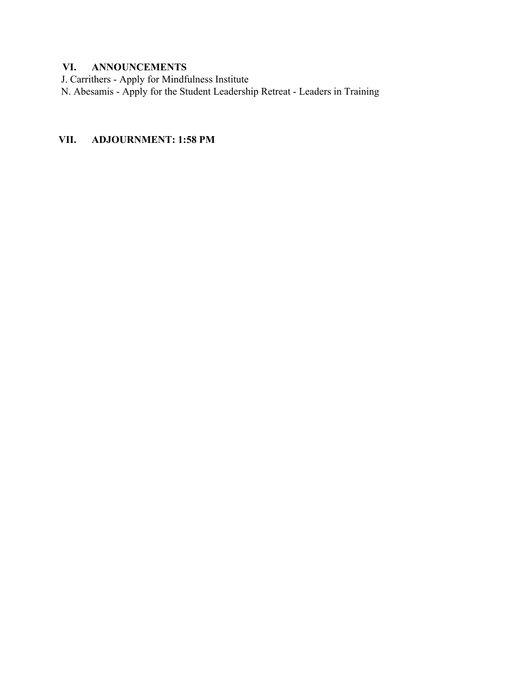## **VI. ANNOUNCEMENTS**

J. Carrithers - Apply for Mindfulness Institute

N. Abesamis - Apply for the Student Leadership Retreat - Leaders in Training

## **VII. ADJOURNMENT: 1:58 PM**